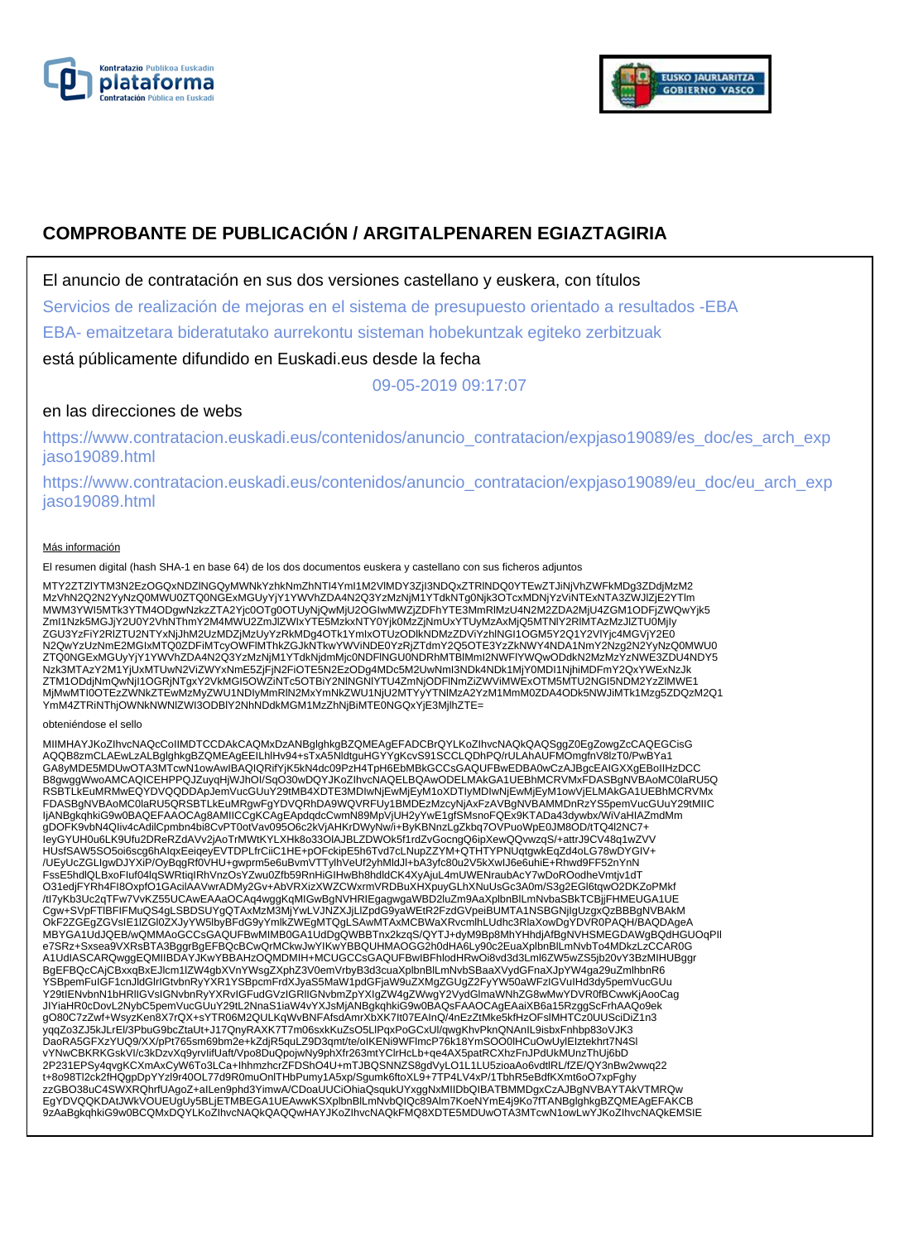



# **COMPROBANTE DE PUBLICACIÓN / ARGITALPENAREN EGIAZTAGIRIA**

El anuncio de contratación en sus dos versiones castellano y euskera, con títulos

Servicios de realización de mejoras en el sistema de presupuesto orientado a resultados -EBA

EBA- emaitzetara bideratutako aurrekontu sisteman hobekuntzak egiteko zerbitzuak

está públicamente difundido en Euskadi.eus desde la fecha

09-05-2019 09:17:07

# en las direcciones de webs

https://www.contratacion.euskadi.eus/contenidos/anuncio\_contratacion/expjaso19089/es\_doc/es\_arch\_exp jaso19089.html

https://www.contratacion.euskadi.eus/contenidos/anuncio\_contratacion/expjaso19089/eu\_doc/eu\_arch\_exp jaso19089.html

## Más información

El resumen digital (hash SHA-1 en base 64) de los dos documentos euskera y castellano con sus ficheros adjuntos

MTY2ZTZlYTM3N2EzOGQxNDZlNGQyMWNkYzhkNmZhNTI4YmI1M2VlMDY3ZjI3NDQxZTRlNDQ0YTEwZTJiNjVhZWFkMDg3ZDdjMzM2 MzVhN2Q2N2YyNzQ0MWU0ZTQ0NGExMGUyYjY1YWVhZDA4N2Q3YzMzNjM1YTdkNTg0Njk3OTcxMDNjYzViNTExNTA3ZWJlZjE2YTlm MWM3YWI5MTk3YTM4ODgwNzkzZTA2Yjc0OTg0OTUyNjQwMjU2OGIwMWZjZDFhYTE3MmRIMzU4N2M2ZDA2MjU4ZGM1ODFjZWQwYjk5<br>ZmI1Nzk5MGJjY2U0Y2VhNThmY2M4MWU2ZmJlZWIxYTE5MzkxNTY0Yjk0MzZjNmUxYTUyMzAxMjQ5MTNIY2RIMTAzMzJlZTU0MjIy ZGU3YzFiY2RIZTU2NTYxNjJhM2UzMDZjMzUyYzRkMDg4OTk1YmIxOTUzODlkNDMzZDViYzhlNGI1OGM5Y2Q1Y2VlYjc4MGVjY2E0 N2QwYzUzNmE2MGIxMTQ0ZDFiMTcyOWFlMThkZGJkNTkwYWViNDE0YzRjZTdmY2Q5OTE3YzZkNWY4NDA1NmY2Nzg2N2YyNzQ0MWU0 ZTQ0NGExMGUyYjY1YWVhZDA4N2Q3YzMzNjM1YTdkNjdmMjc0NDFlNGU0NDRhMTBlMmI2NWFlYWQwODdkN2MzMzYzNWE3ZDU4NDY5 Nzk3MTAzY2M1YjUxMTUwN2ViZWYxNmE5ZjFjN2FiOTE5N2EzODg4MDc5M2UwNmI3NDk4NDk1MjY0MDI1NjhiMDFmY2QxYWExNzJk ZTM1ODdjNmQwNjI1OGRjNTgxY2VkMGI5OWZiNTc5OTBiY2NlNGNlYTU4ZmNjODFlNmZiZWViMWExOTM5MTU2NGI5NDM2YzZlMWE1 MjMwMTI0OTEzZWNkZTEwMzMyZWU1NDIyMmRlN2MxYmNkZWU1NjU2MTYyYTNlMzA2YzM1MmM0ZDA4ODk5NWJiMTk1Mzg5ZDQzM2Q1 YmM4ZTRiNThjOWNkNWNlZWI3ODBlY2NhNDdkMGM1MzZhNjBiMTE0NGQxYjE3MjlhZTE=

#### obteniéndose el sello

MIIMHAYJKoZIhvcNAQcCoIIMDTCCDAkCAQMxDzANBglghkgBZQMEAgEFADCBrQYLKoZIhvcNAQkQAQSggZ0EgZowgZcCAQEGCisG AQQB8zmCLAEwLzALBglghkgBZQMEAgEEILhlHv94+sTxA5NldtguHGYYgKcvS91SCCLQDhPQ/rULAhAUFMOmgfnV8lzT0/PwBYa1 GA8yMDE5MDUwOTA3MTcwN1owAwIBAQIQRifYjK5kN4dc09PzH4TpH6EbMBkGCCsGAQUFBwEDBA0wCzAJBgcEAIGXXgEBoIIHzDCC B8gwggWwoAMCAQICEHPPQJZuyqHjWJhOI/SqO30wDQYJKoZIhvcNAQELBQAwODELMAkGA1UEBhMCRVMxFDASBgNVBAoMC0laRU5Q RSBTLkEuMRMwEQYDVQQDDApJemVucGUuY29tMB4XDTE3MDIwNjEwMjEyM1oXDTIyMDIwNjEwMjEyM1owVjELMAkGA1UEBhMCRVMx FDASBgNVBAoMC0laRU5QRSBTLkEuMRgwFgYDVQRhDA9WQVRFUy1BMDEzMzcyNjAxFzAVBgNVBAMMDnRzYS5pemVucGUuY29tMIIC IjANBgkqhkiG9w0BAQEFAAOCAg8AMIICCgKCAgEApdqdcCwmN89MpVjUH2yYwE1gfSMsnoFQEx9KTADa43dywbx/WiVaHIAZmdMm gDOFK9vbN4QIiv4cAdilCpmbn4bi8CvPT0otVav095O6c2kVjAHKrDWyNw/i+ByKBNnzLgZkbq7OVPuoWpE0JM8OD/tTQ4l2NC7+ IeyGYUH0u6LK9Ufu2DReRZdAVv2jAoTrMWtKYLXHk8o33OlAJBLZDWOk5f1rdZvGocngQ6ipXewQQvwzqS/+attrJ9CV48q1wZVV HUsfSAW5SO5oi6scg6hAIqxEeiqeyEVTDPLfrCiiC1HE+pOFckipE5h6Tvd7cLNupZZYM+QTHTYPNUqtgwkEqZd4oLG78wDYGIV+ /UEyUcZGLIgwDJYXiP/OyBqgRf0VHU+gwprm5e6uBvmVTTylhVeUf2yhMldJl+bA3yfc80u2V5kXwIJ6e6uhiE+Rhwd9FF52nYnN<br>FssE5hdlQLBxoFluf04lqSWRtiqIRhVnzOsYZwu0Zfb59RnHiGIHwBh8hdldCK4XyAjuL4mUWENraubAcY7wDoROodheVmtjv1dT O31edjFYRh4FI8OxpfO1GAcilAAVwrADMy2Gv+AbVRXizXWZCWxrmVRDBuXHXpuyGLhXNuUsGc3A0m/S3g2EGl6tqwO2DKZoPMkf /tI7yKb3Uc2qTFw7VvKZ55UCAwEAAaOCAq4wggKqMIGwBgNVHRIEgagwgaWBD2luZm9AaXplbnBlLmNvbaSBkTCBjjFHMEUGA1UE Cgw+SVpFTlBFIFMuQS4gLSBDSUYgQTAxMzM3MjYwLVJNZXJjLlZpdG9yaWEtR2FzdGVpeiBUMTA1NSBGNjIgUzgxQzBBBgNVBAkM OkF2ZGEgZGVsIE1lZGl0ZXJyYW5lbyBFdG9yYmlkZWEgMTQgLSAwMTAxMCBWaXRvcmlhLUdhc3RlaXowDgYDVR0PAQH/BAQDAgeA MBYGA1UdJQEB/wQMMAoGCCsGAQUFBwMIMB0GA1UdDgQWBBTnx2kzqS/QYTJ+dyM9Bp8MhYHhdjAfBgNVHSMEGDAWgBQdHGUOqPII<br>e7SRz+Sxsea9VXRsBTA3BggrBgEFBQcBCwQrMCkwJwYIKwYBBQUHMAOGG2h0dHA6Ly90c2EuaXplbnBlLmNvbTo4MDkzLzCCAR0G A1UdIASCARQwggEQMIIBDAYJKwYBBAHzOQMDMIH+MCUGCCsGAQUFBwIBFhlodHRwOi8vd3d3Lml6ZW5wZS5jb20vY3BzMIHUBggr BgEFBQcCAjCBxxqBxEJlcm1lZW4gbXVnYWsgZXphZ3V0emVrbyB3d3cuaXplbnBlLmNvbSBaaXVydGFnaXJpYW4ga29uZmlhbnR6 YSBpemFuIGF1cnJldGlrIGtvbnRyYXR1YSBpcmFrdXJyaS5MaW1pdGFjaW9uZXMgZGUgZ2FyYW50aWFzIGVuIHd3dy5pemVucGUu<br>Y29tIENvbnN1bHRIIGVsIGNvbnRyYXRvIGFudGVzIGRIIGNvbmZpYXIgZW4gZWwgY2VydGlmaWNhZG8wMwYDVR0fBCwwKjAooCag JIYiaHR0cDovL2NybC5pemVucGUuY29tL2NnaS1iaW4vYXJsMjANBgkqhkiG9w0BAQsFAAOCAgEAaiXB6a15RzggScFrhAAQo9ek gO80C7zZwf+WsyzKen8X7rQX+sYTR06M2QULKqWvBNFAfsdAmrXbXK7It07EAInQ/4nEzZtMke5kfHzOFslMHTCz0UUSciDiZ1n3 yqqZo3ZJ5kJLrEl/3PbuG9bcZtaUt+J17QnyRAXK7T7m06sxkKuZsO5LlPqxPoGCxUl/qwgKhvPknQNAnIL9isbxFnhbp83oVJK3<br>DaoRA5GFXzYUQ9/XX/pPt765sm69bm2e+kZdjR5quLZ9D3qmt/te/oIKENi9WFlmcP76k18YmSOO0lHCuOwUylEIztekhrt7N4Sl vYNwCBKRKGskVI/c3kDzvXq9yrvIifUaft/Vpo8DuQpojwNy9phXfr263mtYClrHcLb+qe4AX5patRCXhzFnJPdUkMUnzThUj6bD 2P231EPSy4qvgKCXmAxCyW6To3LCa+IhhmzhcrZFDShO4U+mTJBQSNNZS8gdVyLO1L1LU5zioaAo6vdtlRL/fZE/QY3nBw2wwq22 t+8o98Tl2ck2fHQgpDpYYzl9r40OL77d9R0muOnlTHbPumy1A5xp/Sgumk6ftoXL9+7TP4LV4xP/1TbhR5eBdfKXmt6oO7xpFghy zzGBO38uC4SWXRQhrfUAgoZ+aILen9phd3YimwA/CDoaUUCiOhiaQsqukUYxggNxMIIDbQIBATBMMDgxCzAJBgNVBAYTAkVTMRQw EgYDVQQKDAtJWkVOUEUgUy5BLjETMBEGA1UEAwwKSXplbnBlLmNvbQIQc89Alm7KoeNYmE4j9Ko7fTANBglghkgBZQMEAgEFAKCB 9zAaBgkqhkiG9w0BCQMxDQYLKoZIhvcNAQkQAQQwHAYJKoZIhvcNAQkFMQ8XDTE5MDUwOTA3MTcwN1owLwYJKoZIhvcNAQkEMSIE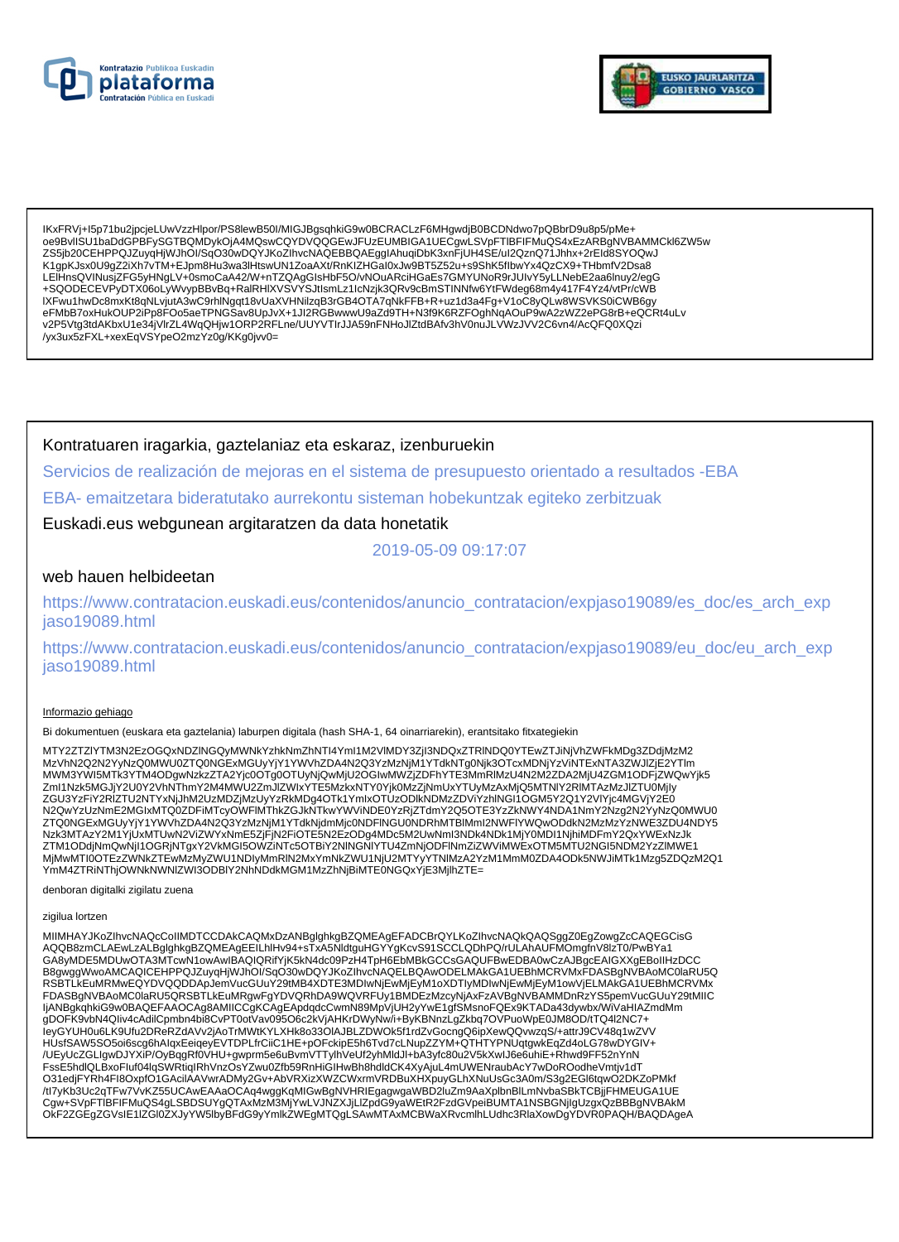



lKxFRVj+l5p71bu2jpcjeLUwVzzHlpor/PS8lewB50l/MIGJBgsqhkiG9w0BCRACLzF6MHgwdjB0BCDNdwo7pQBbrD9u8p5/pMe+<br>oe9BvllSU1baDdGPBFySGTBQMDykOjA4MQswCQYDVQQGEwJFUzEUMBIGA1UECgwLSVpFTIBFIFMuQS4xEzARBgNVBAMMCkl6ZW5w ZS5jb20CEHPPQJZuyqHjWJhOl/SqO30wDQYJKoZlhvcNAQEBBQAEgglAhuqiDbK3xnFjUH4SE/uI2QznQ71Jhhx+2rEld8SYOQwJ K1gpKJsx0U9gZ2iXh7vTM+EJpm8Hu3wa3lHtswUN1ZoaAXt/RnKlZHGal0xJw9BT5Z52u+s9ShK5flbwYx4QzCX9+THbmfV2Dsa8 LEIHnsQVINusjZFG5yHNgLV+0smoCaA42/W+nTZQAgGIsHbF5O/vNOuARciHGaEs7GMYUNoR9rJUIvY5yLLNebE2aa6Inuy2/egG +SQODECEVPyDTX06oLyWvypBBvBq+RalRHIXVSVYSJtlsmLz1lcNzjk3QRv9cBmSTINNfw6YtFWdeg68m4y417F4Yz4/vtPr/cWB IXFwu1hwDc8mxKt8qNLvjutA3wC9rhINgqt18vUaXVHNilzqB3rGB4OTA7qNkFFB+R+uz1d3a4Fg+V1oC8yQLw8WSVKS0iCWB6gy<br>eFMbB7oxHukOUP2iPp8FOo5aeTPNGSav8UpJvX+1JI2RGBwwwU9aZd9TH+N3f9K6RZFOghNqAOuP9wA2zWZ2ePG8rB+eQCRt4uLv v2P5Vtg3tdAKbxU1e34jVlrZL4WqQHjw1ORP2RFLne/UUYVTIrJJA59nFNHoJlZtdBAfv3hV0nuJLVWzJVV2C6vn4/AcQFQ0XQzi /yx3ux5zFXL+xexEqVSYpeO2mzYz0g/KKg0jvv0=

Kontratuaren iragarkia, gaztelaniaz eta eskaraz, izenburuekin

Servicios de realización de meioras en el sistema de presupuesto orientado a resultados -EBA EBA- emaitzetara bideratutako aurrekontu sisteman hobekuntzak egiteko zerbitzuak

Euskadi.eus webgunean argitaratzen da data honetatik

2019-05-09 09:17:07

# web hauen helbideetan

https://www.contratacion.euskadi.eus/contenidos/anuncio\_contratacion/expjaso19089/es\_doc/es\_arch\_exp jaso19089.html

https://www.contratacion.euskadi.eus/contenidos/anuncio\_contratacion/expjaso19089/eu\_doc/eu\_arch\_exp iaso19089.html

## Informazio gehiago

Bi dokumentuen (euskara eta gaztelania) laburpen digitala (hash SHA-1, 64 oinarriarekin), erantsitako fitxategiekin

MTY2ZTZIYTM3N2EzOGQxNDZINGQvMWNkYzhkNmZhNTI4YmI1M2VIMDY3Zil3NDQxZTRINDQ0YTEwZTJiNiVhZWFkMDa3ZDdiMzM2 Zml1Nzk5MGJjY2U0Y2VhNThmY2M4MWU2ZmJlZWlxYTE5MzkxNTY0Yjk0MzZjNmUxYTUyMzAxMjQ5MTNIY2RlMTAzMzJlZTU0Mjly ZGU3YzFiY2RIZTU2NTYxNjJhM2UzMDZjMzUyYzRkMDg4OTk1YmlxOTUzODlkNDMzZDViYzhlNGI1OGM5Y2Q1Y2VlYjc4MGVjY2E0 N2QwYzUzNmE2MGIxMTQ0ZDFiMTcyOWFIMThkZGJkNTkwYWViNDE0YzRjZTdmY2Q5OTE3YzZkNWY4NDA1NmY2Nzg2N2YyNzQ0MWU0 ZTQ0NGExMGUyYjY1YWVhZDA4N2Q3YzMzNjM1YTdkNjdmMjc0NDFINGU0NDRhMTBIMmI2NWFIYWQwODdkN2MzMzYzNWE3ZDU4NDY5 Nzk3MTAzY2M1YjUxMTUwN2ViZWYxNmE5ZjFjN2FiOTE5N2EzODg4MDc5M2UwNmI3NDk4NDk1MjY0MDI1NjhiMDFmY2QxYWExNzJk<br>ZTM1ODdjNmQwNjI1OGRjNTgxY2VkMGI5OWZiNTc5OTBiY2NINGNIYTU4ZmNjODFINmZiZWViMWExOTM5MTU2NGI5NDM2YzZIMWE1 LIKIN VOOTEZZWINKZTEWMZMVZWU1NDIyMmRIN2MxYmNkZWU1NjU2MTYyYTNIMzA2YzM1MmM0ZDA4ODk5NWJiMTk1Mzg5ZDQzM2Q1 

denboran digitalki zigilatu zuena

zigilua lortzen

MIIMHAYJKoZIhvcNAQcCoIIMDTCCDAkCAQMxDzANBglghkgBZQMEAgEFADCBrQYLKoZIhvcNAQkQAQSggZ0EgZowgZcCAQEGCisG AQQB8zmCLAEwLzALBglghkgBZQMEAgEEILhIHv94+sTxA5NIdtguHGYYgKcvS91SCCLQDhPQ/rULAhAUFMOmgfnV8IzT0/PwBYa1 GA8yMDE5MDUwOTA3MTcwN1owAwIBAQIQRifYjK5kN4dc09PzH4TpH6EbMBkGCCsGAQUFBwEDBA0wCzAJBgcEAIGXXgEBoIIHzDCC B8gwggWwoAMCAQICEHPPQJZuyqHjWJhOI/SqO30wDQYJKoZIhvcNAQELBQAwODELMAkGA1UEBhMCRVMxFDASBgNVBAoMC0laRU5Q RSBTLkEuMRMwEQYDVQQDDApJemVucGUuY29tMB4XDTE3MDIwNjEwMjEyM1oXDTIyMDIwNjEwMjEyM1owVjELMAkGA1UEBhMCRVMx FDASBgNVBAoMC0laRU5QRSBTLkEuMRgwFgYDVQRhDA9WQVRFUy1BMDEzMzcyNjAxFzAVBgNVBAMMDnRzYS5pemVucGUuY29tMIIC<br>IjANBgkqhkiG9w0BAQEFAAOCAg8AMIICCgKCAgEApdqdcCwmN89MpVjUH2yYwE1gfSMsnoFQEx9KTADa43dywbx/WiVaHIAZmdMm HUsfSAW5SO5oi6scg6hAlqxEeiqeyEVTDPLfrCiiC1HE+pOFckipE5h6Tvd7cLNupZZYM+QTHTYPNUqtgwkEqZd4oLG78wDYGIV+ /UEyUcZGLIgwDJYXiP/OyBqgRf0VHU+gwprm5e6uBvmVTTylhVeUf2yhMldJl+bA3yfc80u2V5kXwIJ6e6uhiE+Rhwd9FF52nYnN FssE5hdlQLBxoFluf04lqSWRtiqIRhVnzOsYZwu0Zfb59RnHiGIHwBh8hdldCK4XyAjuL4mUWENraubAcY7wDoROodheVmtjv1dT O31edjFYRh4Fl8OxpfO1GAcilAAVwrADMy2Gv+AbVRXizXWZCWxrmVRDBuXHXpuyGLhXNuUsGc3A0m/S3g2EGl6tqwO2DKZoPMkf /tl7yKb3Uc2qTFw7VvKZ55UCAwEAAaOCAq4wggKqMlGwBgNVHRIEgagwgaWBD2IuZm9AaXplbnBlLmNvbaSBkTCBjjFHMEUGA1UE<br>Cgw+SVpFTIBFIFMuQS4gLSBDSUYgQTAxMzM3MjYwLVJNZXJjLlZpdG9yaWEtR2FzdGVpeiBUMTA1NSBGNjlgUzgxQzBBBgNVBAkM OKF2ZGEgZGVsIE1IZGI0ZXJyYW5lbyBFdG9yYmlkZWEgMTQgLSAwMTAxMCBWaXRvcmlhLUdhc3RlaXowDgYDVR0PAQH/BAQDAgeA